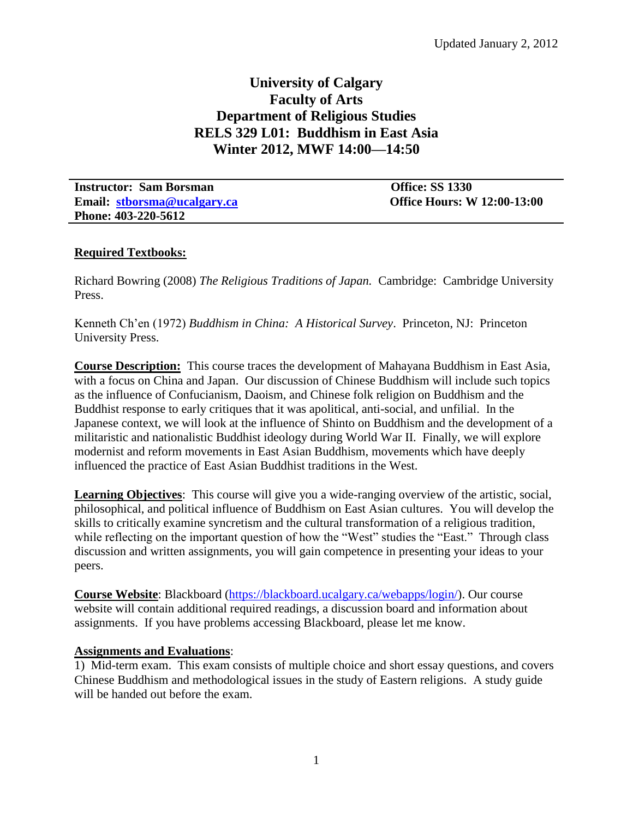# **University of Calgary Faculty of Arts Department of Religious Studies RELS 329 L01: Buddhism in East Asia Winter 2012, MWF 14:00—14:50**

| <b>Instructor: Sam Borsman</b> | <b>Office: SS 1330</b>             |
|--------------------------------|------------------------------------|
| Email: stborsma@ucalgary.ca    | <b>Office Hours: W 12:00-13:00</b> |
| Phone: 403-220-5612            |                                    |

# **Required Textbooks:**

Richard Bowring (2008) *The Religious Traditions of Japan.* Cambridge: Cambridge University Press.

Kenneth Ch'en (1972) *Buddhism in China: A Historical Survey*. Princeton, NJ: Princeton University Press.

**Course Description:** This course traces the development of Mahayana Buddhism in East Asia, with a focus on China and Japan. Our discussion of Chinese Buddhism will include such topics as the influence of Confucianism, Daoism, and Chinese folk religion on Buddhism and the Buddhist response to early critiques that it was apolitical, anti-social, and unfilial. In the Japanese context, we will look at the influence of Shinto on Buddhism and the development of a militaristic and nationalistic Buddhist ideology during World War II. Finally, we will explore modernist and reform movements in East Asian Buddhism, movements which have deeply influenced the practice of East Asian Buddhist traditions in the West.

**Learning Objectives**: This course will give you a wide-ranging overview of the artistic, social, philosophical, and political influence of Buddhism on East Asian cultures. You will develop the skills to critically examine syncretism and the cultural transformation of a religious tradition, while reflecting on the important question of how the "West" studies the "East." Through class discussion and written assignments, you will gain competence in presenting your ideas to your peers.

**Course Website**: Blackboard [\(https://blackboard.ucalgary.ca/webapps/login/\)](https://blackboard.ucalgary.ca/webapps/login/). Our course website will contain additional required readings, a discussion board and information about assignments. If you have problems accessing Blackboard, please let me know.

### **Assignments and Evaluations**:

1) Mid-term exam. This exam consists of multiple choice and short essay questions, and covers Chinese Buddhism and methodological issues in the study of Eastern religions. A study guide will be handed out before the exam.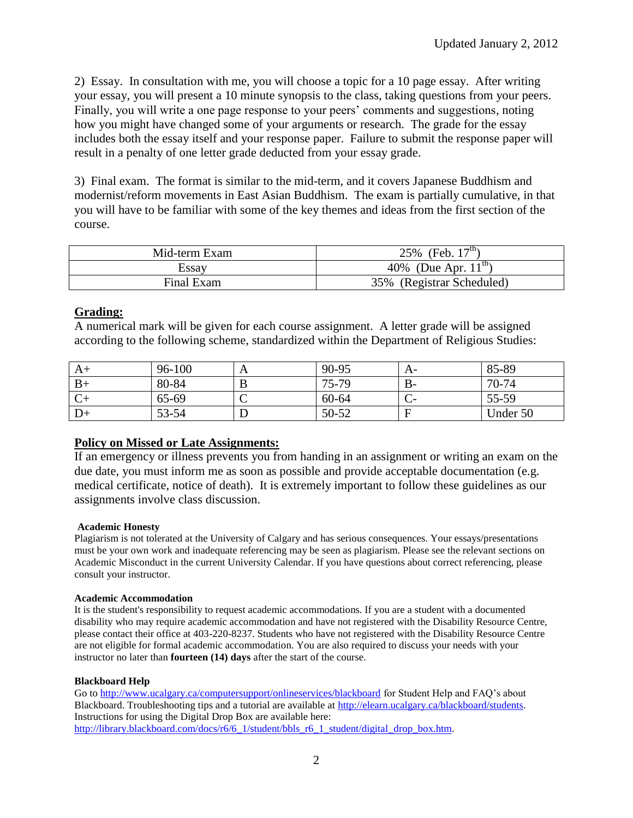2) Essay. In consultation with me, you will choose a topic for a 10 page essay. After writing your essay, you will present a 10 minute synopsis to the class, taking questions from your peers. Finally, you will write a one page response to your peers' comments and suggestions, noting how you might have changed some of your arguments or research. The grade for the essay includes both the essay itself and your response paper. Failure to submit the response paper will result in a penalty of one letter grade deducted from your essay grade.

3) Final exam. The format is similar to the mid-term, and it covers Japanese Buddhism and modernist/reform movements in East Asian Buddhism. The exam is partially cumulative, in that you will have to be familiar with some of the key themes and ideas from the first section of the course.

| Mid-term Exam | 25% (Feb. $17^{\text{th}}$ ) |
|---------------|------------------------------|
| Essav         | 40\% (Due Apr. $11^{th}$ )   |
| Final Exam    | 35% (Registrar Scheduled)    |

# **Grading:**

A numerical mark will be given for each course assignment. A letter grade will be assigned according to the following scheme, standardized within the Department of Religious Studies:

| $A+$ | 96-100 | A | 90-95 | A-        | 85-89    |
|------|--------|---|-------|-----------|----------|
| $B+$ | 80-84  |   | 75-79 | <b>B-</b> | 70-74    |
|      | 65-69  | ◡ | 60-64 |           | 55-59    |
| $D+$ | 53-54  |   | 50-52 |           | Under 50 |

# **Policy on Missed or Late Assignments:**

If an emergency or illness prevents you from handing in an assignment or writing an exam on the due date, you must inform me as soon as possible and provide acceptable documentation (e.g. medical certificate, notice of death). It is extremely important to follow these guidelines as our assignments involve class discussion.

### **Academic Honesty**

Plagiarism is not tolerated at the University of Calgary and has serious consequences. Your essays/presentations must be your own work and inadequate referencing may be seen as plagiarism. Please see the relevant sections on Academic Misconduct in the current University Calendar. If you have questions about correct referencing, please consult your instructor.

### **Academic Accommodation**

It is the student's responsibility to request academic accommodations. If you are a student with a documented disability who may require academic accommodation and have not registered with the Disability Resource Centre, please contact their office at 403-220-8237. Students who have not registered with the Disability Resource Centre are not eligible for formal academic accommodation. You are also required to discuss your needs with your instructor no later than **fourteen (14) days** after the start of the course.

### **Blackboard Help**

Go to<http://www.ucalgary.ca/computersupport/onlineservices/blackboard> for Student Help and FAQ's about Blackboard. Troubleshooting tips and a tutorial are available at [http://elearn.ucalgary.ca/blackboard/students.](http://elearn.ucalgary.ca/blackboard/students)  Instructions for using the Digital Drop Box are available here: [http://library.blackboard.com/docs/r6/6\\_1/student/bbls\\_r6\\_1\\_student/digital\\_drop\\_box.htm.](http://library.blackboard.com/docs/r6/6_1/student/bbls_r6_1_student/digital_drop_box.htm)